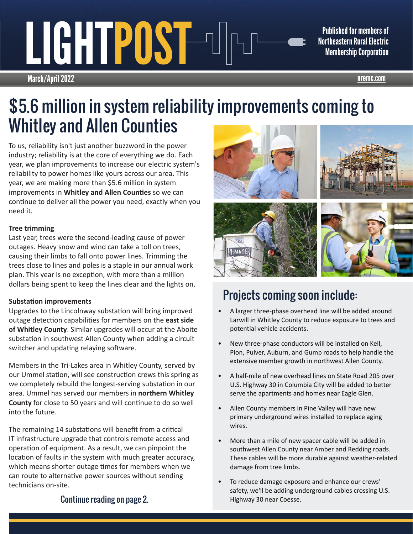## March/April 2022 nremc.com PUST POST PUBLISHEd for members of<br>Northeastern Rural Electric<br>Membership Corporation

Northeastern Rural Electric Membership Corporation

## \$5.6 million in system reliability improvements coming to Whitley and Allen Counties

To us, reliability isn't just another buzzword in the power industry; reliability is at the core of everything we do. Each year, we plan improvements to increase our electric system's reliability to power homes like yours across our area. This year, we are making more than \$5.6 million in system improvements in **Whitley and Allen Counties** so we can continue to deliver all the power you need, exactly when you need it.

#### **Tree trimming**

Last year, trees were the second-leading cause of power outages. Heavy snow and wind can take a toll on trees, causing their limbs to fall onto power lines. Trimming the trees close to lines and poles is a staple in our annual work plan. This year is no exception, with more than a million dollars being spent to keep the lines clear and the lights on.

#### **Substation improvements**

Upgrades to the Lincolnway substation will bring improved outage detection capabilities for members on the **east side of Whitley County**. Similar upgrades will occur at the Aboite substation in southwest Allen County when adding a circuit switcher and updating relaying software.

Members in the Tri-Lakes area in Whitley County, served by our Ummel station, will see construction crews this spring as we completely rebuild the longest-serving substation in our area. Ummel has served our members in **northern Whitley County** for close to 50 years and will continue to do so well into the future.

The remaining 14 substations will benefit from a critical IT infrastructure upgrade that controls remote access and operation of equipment. As a result, we can pinpoint the location of faults in the system with much greater accuracy, which means shorter outage times for members when we can route to alternative power sources without sending technicians on-site.



## Projects coming soon include:

- A larger three-phase overhead line will be added around Larwill in Whitley County to reduce exposure to trees and potential vehicle accidents.
- New three-phase conductors will be installed on Kell, Pion, Pulver, Auburn, and Gump roads to help handle the extensive member growth in northwest Allen County.
- A half-mile of new overhead lines on State Road 205 over U.S. Highway 30 in Columbia City will be added to better serve the apartments and homes near Eagle Glen.
- Allen County members in Pine Valley will have new primary underground wires installed to replace aging wires.
- More than a mile of new spacer cable will be added in southwest Allen County near Amber and Redding roads. These cables will be more durable against weather-related damage from tree limbs.
- To reduce damage exposure and enhance our crews' safety, we'll be adding underground cables crossing U.S. Highway 30 near Coesse.

Continue reading on page 2.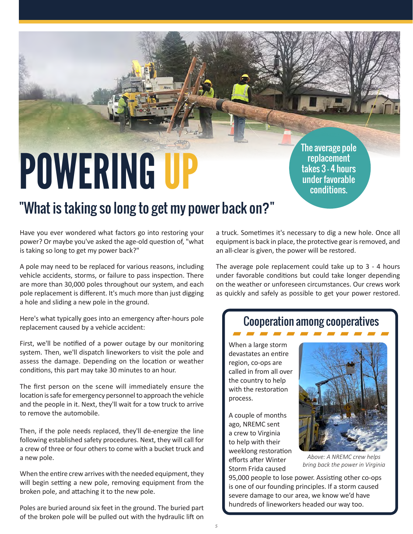# POWERING UP

The average pole replacement takes 3 - 4 hours under favorable conditions.

## "What is taking so long to get my power back on?"

Have you ever wondered what factors go into restoring your power? Or maybe you've asked the age-old question of, "what is taking so long to get my power back?"

A pole may need to be replaced for various reasons, including vehicle accidents, storms, or failure to pass inspection. There are more than 30,000 poles throughout our system, and each pole replacement is different. It's much more than just digging a hole and sliding a new pole in the ground.

Here's what typically goes into an emergency after-hours pole replacement caused by a vehicle accident:

First, we'll be notified of a power outage by our monitoring system. Then, we'll dispatch lineworkers to visit the pole and assess the damage. Depending on the location or weather conditions, this part may take 30 minutes to an hour.

The first person on the scene will immediately ensure the location is safe for emergency personnel to approach the vehicle and the people in it. Next, they'll wait for a tow truck to arrive to remove the automobile.

Then, if the pole needs replaced, they'll de-energize the line following established safety procedures. Next, they will call for a crew of three or four others to come with a bucket truck and a new pole.

When the entire crew arrives with the needed equipment, they will begin setting a new pole, removing equipment from the broken pole, and attaching it to the new pole.

Poles are buried around six feet in the ground. The buried part of the broken pole will be pulled out with the hydraulic lift on a truck. Sometimes it's necessary to dig a new hole. Once all equipment is back in place, the protective gear is removed, and an all-clear is given, the power will be restored.

The average pole replacement could take up to 3 - 4 hours under favorable conditions but could take longer depending on the weather or unforeseen circumstances. Our crews work as quickly and safely as possible to get your power restored.

#### Cooperation among cooperatives

When a large storm devastates an entire region, co-ops are called in from all over the country to help with the restoration process.

A couple of months ago, NREMC sent a crew to Virginia to help with their weeklong restoration efforts after Winter Storm Frida caused



*Above: A NREMC crew helps bring back the power in Virginia*

95,000 people to lose power. Assisting other co-ops is one of our founding principles. If a storm caused severe damage to our area, we know we'd have hundreds of lineworkers headed our way too.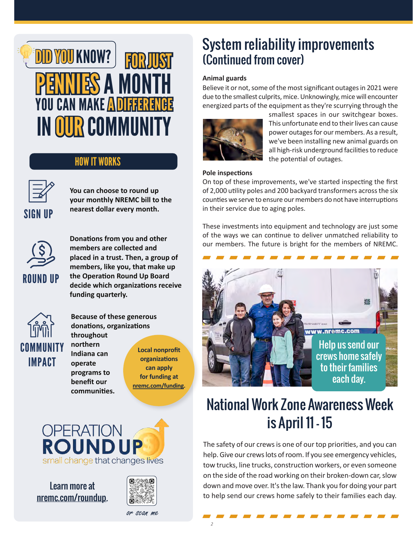## DID YOU KNOW? **NIES A MONTH** IN OUR COMMUNITY **FOR JUST** YOU CAN MAKE ADIFFERENCE

#### HOW IT WORKS



**You can choose to round up your monthly NREMC bill to the SIGN UP** nearest dollar every month.



**Donations from you and other members are collected and placed in a trust. Then, a group of members, like you, that make up the Operation Round Up Board decide which organizations receive funding quarterly.**



**Because of these generous donations, organizations throughout northern** 

**Indiana can operate programs to benefit our communities.** 

**Local nonprofit organizations can apply for funding at nremc.com/funding.**



Learn more at nremc.com/roundup.



System reliability improvements (Continued from cover)

#### **Animal guards**

Believe it or not, some of the most significant outages in 2021 were due to the smallest culprits, mice. Unknowingly, mice will encounter energized parts of the equipment as they're scurrying through the



smallest spaces in our switchgear boxes. This unfortunate end to their lives can cause power outages for our members. As a result, we've been installing new animal guards on all high-risk underground facilities to reduce the potential of outages.

#### **Pole inspections**

On top of these improvements, we've started inspecting the first of 2,000 utility poles and 200 backyard transformers across the six counties we serve to ensure our members do not have interruptions in their service due to aging poles.

These investments into equipment and technology are just some of the ways we can continue to deliver unmatched reliability to our members. The future is bright for the members of NREMC.



## National Work Zone Awareness Week is April 11 - 15

The safety of our crews is one of our top priorities, and you can help. Give our crews lots of room. If you see emergency vehicles, tow trucks, line trucks, construction workers, or even someone on the side of the road working on their broken-down car, slow down and move over. It's the law. Thank you for doing your part to help send our crews home safely to their families each day.

or scan me

2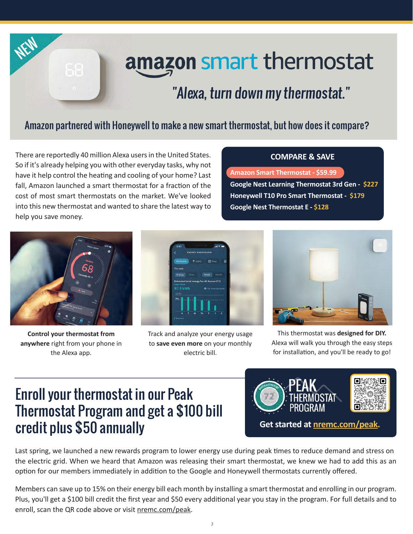

## amazon smart thermostat

## "Alexa, turn down my thermostat."

#### Amazon partnered with Honeywell to make a new smart thermostat, but how does it compare?

There are reportedly 40 million Alexa users in the United States. So if it's already helping you with other everyday tasks, why not have it help control the heating and cooling of your home? Last fall, Amazon launched a smart thermostat for a fraction of the cost of most smart thermostats on the market. We've looked into this new thermostat and wanted to share the latest way to help you save money.

#### **COMPARE & SAVE**

**Amazon Smart Thermostat - \$59.99 Google Nest Learning Thermostat 3rd Gen - \$227 Honeywell T10 Pro Smart Thermostat - \$179 Google Nest Thermostat E - \$128**



**Control your thermostat from anywhere** right from your phone in the Alexa app.



Track and analyze your energy usage to **save even more** on your monthly electric bill.



This thermostat was **designed for DIY.**  Alexa will walk you through the easy steps for installation, and you'll be ready to go!

## Enroll your thermostat in our Peak Thermostat Program and get a \$100 bill credit plus \$50 annually



Last spring, we launched a new rewards program to lower energy use during peak times to reduce demand and stress on the electric grid. When we heard that Amazon was releasing their smart thermostat, we knew we had to add this as an option for our members immediately in addition to the Google and Honeywell thermostats currently offered.

Members can save up to 15% on their energy bill each month by installing a smart thermostat and enrolling in our program. Plus, you'll get a \$100 bill credit the first year and \$50 every additional year you stay in the program. For full details and to enroll, scan the QR code above or visit nremc.com/peak.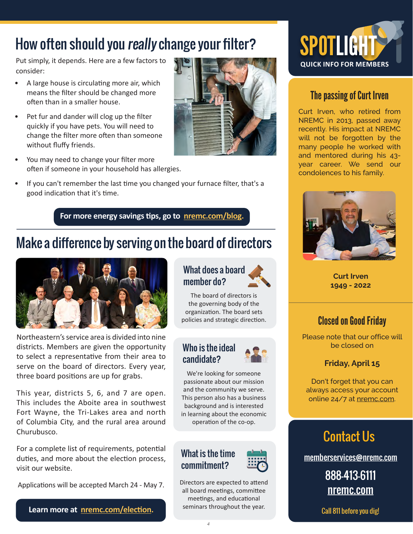## How often should you really change your filter?

Put simply, it depends. Here are a few factors to consider:

- A large house is circulating more air, which means the filter should be changed more often than in a smaller house.
- Pet fur and dander will clog up the filter quickly if you have pets. You will need to change the filter more often than someone without fluffy friends.
- You may need to change your filter more often if someone in your household has allergies.
- If you can't remember the last time you changed your furnace filter, that's a good indication that it's time.

**For more energy savings tips, go to nremc.com/blog.**

## Make a difference by serving on the board of directors



Northeastern's service area is divided into nine districts. Members are given the opportunity to select a representative from their area to serve on the board of directors. Every year, three board positions are up for grabs.

This year, districts 5, 6, and 7 are open. This includes the Aboite area in southwest Fort Wayne, the Tri-Lakes area and north of Columbia City, and the rural area around Churubusco.

For a complete list of requirements, potential duties, and more about the election process, visit our website.

Applications will be accepted March 24 - May 7.

**Learn more at nremc.com/election.**

#### What does a board member do?

The board of directors is the governing body of the organization. The board sets policies and strategic direction.

#### Who is the ideal candidate?

We're looking for someone passionate about our mission and the community we serve. This person also has a business background and is interested in learning about the economic operation of the co-op.

#### What is the time commitment?

Directors are expected to attend all board meetings, committee meetings, and educational seminars throughout the year.



#### The passing of Curt Irven

Curt Irven, who retired from NREMC in 2013, passed away recently. His impact at NREMC will not be forgotten by the many people he worked with and mentored during his 43 year career. We send our condolences to his family.



**Curt Irven 1949 - 2022**

#### Closed on Good Friday

Please note that our office will be closed on

#### **Friday, April 15**

Don't forget that you can always access your account online 24/7 at nremc.com.

### Contact Us

memberservices@nremc.com

888-413-6111 nremc.com

Call 811 before you dig!